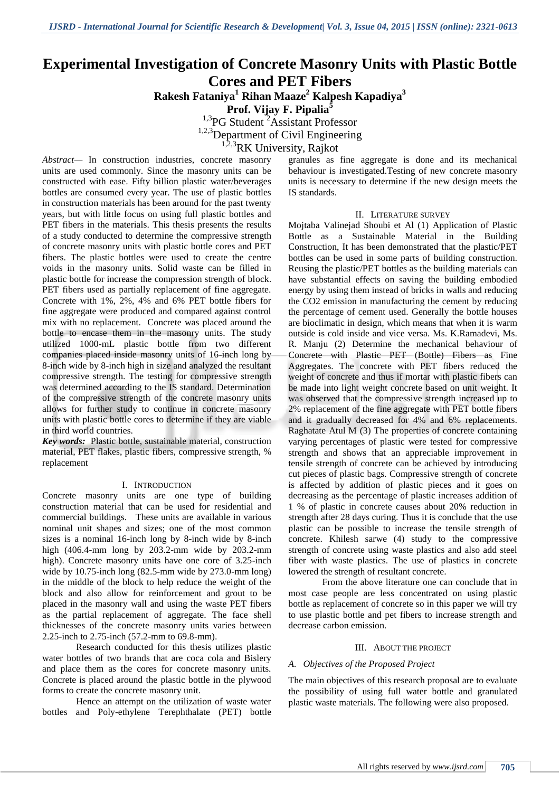# **Experimental Investigation of Concrete Masonry Units with Plastic Bottle Cores and PET Fibers**

**Rakesh Fataniya<sup>1</sup> Rihan Maaze<sup>2</sup> Kalpesh Kapadiya<sup>3</sup>**

**Prof. Vijay F. Pipalia<sup>5</sup>**

 $^{1,3}$ PG Student  $^{2}$ Assistant Professor

<sup>1,2,3</sup>Department of Civil Engineering

<sup>1,2,3</sup>RK University, Rajkot

*Abstract—* In construction industries, concrete masonry units are used commonly. Since the masonry units can be constructed with ease. Fifty billion plastic water/beverages bottles are consumed every year. The use of plastic bottles in construction materials has been around for the past twenty years, but with little focus on using full plastic bottles and PET fibers in the materials. This thesis presents the results of a study conducted to determine the compressive strength of concrete masonry units with plastic bottle cores and PET fibers. The plastic bottles were used to create the centre voids in the masonry units. Solid waste can be filled in plastic bottle for increase the compression strength of block. PET fibers used as partially replacement of fine aggregate. Concrete with 1%, 2%, 4% and 6% PET bottle fibers for fine aggregate were produced and compared against control mix with no replacement. Concrete was placed around the bottle to encase them in the masonry units. The study utilized 1000-mL plastic bottle from two different companies placed inside masonry units of 16-inch long by 8-inch wide by 8-inch high in size and analyzed the resultant compressive strength. The testing for compressive strength was determined according to the IS standard. Determination of the compressive strength of the concrete masonry units allows for further study to continue in concrete masonry units with plastic bottle cores to determine if they are viable in third world countries.

*Key words:* Plastic bottle, sustainable material, construction material, PET flakes, plastic fibers, compressive strength, % replacement

#### I. INTRODUCTION

Concrete masonry units are one type of building construction material that can be used for residential and commercial buildings. These units are available in various nominal unit shapes and sizes; one of the most common sizes is a nominal 16-inch long by 8-inch wide by 8-inch high (406.4-mm long by 203.2-mm wide by 203.2-mm high). Concrete masonry units have one core of 3.25-inch wide by 10.75-inch long (82.5-mm wide by 273.0-mm long) in the middle of the block to help reduce the weight of the block and also allow for reinforcement and grout to be placed in the masonry wall and using the waste PET fibers as the partial replacement of aggregate. The face shell thicknesses of the concrete masonry units varies between 2.25-inch to 2.75-inch (57.2-mm to 69.8-mm).

Research conducted for this thesis utilizes plastic water bottles of two brands that are coca cola and Bislery and place them as the cores for concrete masonry units. Concrete is placed around the plastic bottle in the plywood forms to create the concrete masonry unit.

Hence an attempt on the utilization of waste water bottles and Poly-ethylene Terephthalate (PET) bottle

granules as fine aggregate is done and its mechanical behaviour is investigated.Testing of new concrete masonry units is necessary to determine if the new design meets the IS standards.

#### II. LITERATURE SURVEY

Mojtaba Valinejad Shoubi et Al (1) Application of Plastic Bottle as a Sustainable Material in the Building Construction, It has been demonstrated that the plastic/PET bottles can be used in some parts of building construction. Reusing the plastic/PET bottles as the building materials can have substantial effects on saving the building embodied energy by using them instead of bricks in walls and reducing the CO2 emission in manufacturing the cement by reducing the percentage of cement used. Generally the bottle houses are bioclimatic in design, which means that when it is warm outside is cold inside and vice versa. Ms. K.Ramadevi, Ms. R. Manju (2) Determine the mechanical behaviour of Concrete with Plastic PET (Bottle) Fibers as Fine Aggregates. The concrete with PET fibers reduced the weight of concrete and thus if mortar with plastic fibers can be made into light weight concrete based on unit weight. It was observed that the compressive strength increased up to 2% replacement of the fine aggregate with PET bottle fibers and it gradually decreased for 4% and 6% replacements. Raghatate Atul M (3) The properties of concrete containing varying percentages of plastic were tested for compressive strength and shows that an appreciable improvement in tensile strength of concrete can be achieved by introducing cut pieces of plastic bags. Compressive strength of concrete is affected by addition of plastic pieces and it goes on decreasing as the percentage of plastic increases addition of 1 % of plastic in concrete causes about 20% reduction in strength after 28 days curing. Thus it is conclude that the use plastic can be possible to increase the tensile strength of concrete. Khilesh sarwe (4) study to the compressive strength of concrete using waste plastics and also add steel fiber with waste plastics. The use of plastics in concrete lowered the strength of resultant concrete.

From the above literature one can conclude that in most case people are less concentrated on using plastic bottle as replacement of concrete so in this paper we will try to use plastic bottle and pet fibers to increase strength and decrease carbon emission.

#### III. ABOUT THE PROJECT

#### *A. Objectives of the Proposed Project*

The main objectives of this research proposal are to evaluate the possibility of using full water bottle and granulated plastic waste materials. The following were also proposed.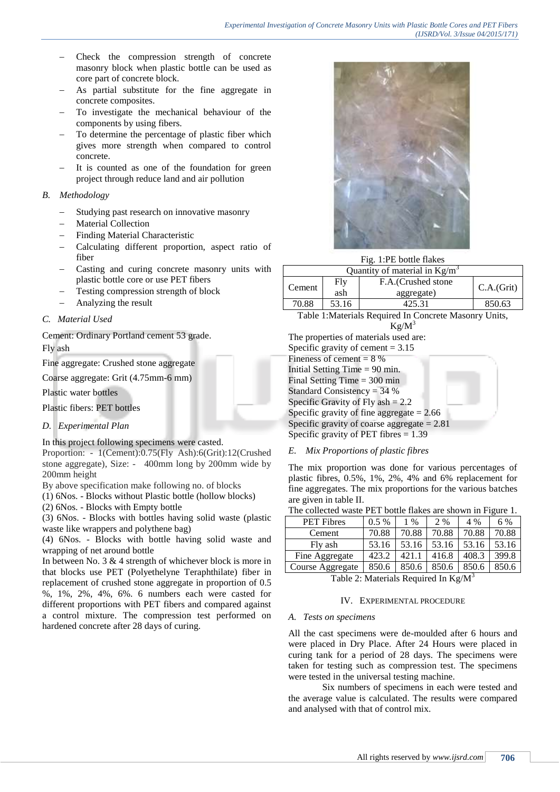- Check the compression strength of concrete masonry block when plastic bottle can be used as core part of concrete block.
- As partial substitute for the fine aggregate in concrete composites.
- To investigate the mechanical behaviour of the components by using fibers.
- To determine the percentage of plastic fiber which gives more strength when compared to control concrete.
- It is counted as one of the foundation for green project through reduce land and air pollution

# *B. Methodology*

- Studying past research on innovative masonry
- Material Collection
- Finding Material Characteristic
- Calculating different proportion, aspect ratio of fiber
- Casting and curing concrete masonry units with plastic bottle core or use PET fibers
- Testing compression strength of block
- Analyzing the result

# *C. Material Used*

Cement: Ordinary Portland cement 53 grade. Fly ash

Fine aggregate: Crushed stone aggregate

Coarse aggregate: Grit (4.75mm-6 mm)

Plastic water bottles

Plastic fibers: PET bottles

# *D. Experimental Plan*

In this project following specimens were casted.

Proportion: - 1(Cement):0.75(Fly Ash):6(Grit):12(Crushed stone aggregate), Size: - 400mm long by 200mm wide by 200mm height

By above specification make following no. of blocks

(1) 6Nos. - Blocks without Plastic bottle (hollow blocks)

(2) 6Nos. - Blocks with Empty bottle

(3) 6Nos. - Blocks with bottles having solid waste (plastic waste like wrappers and polythene bag)

(4) 6Nos. - Blocks with bottle having solid waste and wrapping of net around bottle

In between No. 3 & 4 strength of whichever block is more in that blocks use PET (Polyethelyne Teraphthilate) fiber in replacement of crushed stone aggregate in proportion of 0.5 %, 1%, 2%, 4%, 6%. 6 numbers each were casted for different proportions with PET fibers and compared against a control mixture. The compression test performed on hardened concrete after 28 days of curing.



Fig. 1:PE bottle flakes

| Quantity of material in $Kg/m^3$ |                                                 |        |            |  |  |  |  |  |
|----------------------------------|-------------------------------------------------|--------|------------|--|--|--|--|--|
| Cement                           | Fly<br>F.A. (Crushed stone<br>ash<br>aggregate) |        | C.A.(Grit) |  |  |  |  |  |
| 70.88                            | 53.16                                           | 425.31 | 850.63     |  |  |  |  |  |

Table 1:Materials Required In Concrete Masonry Units,  $Kg/M^3$ 

The properties of materials used are: Specific gravity of cement  $= 3.15$ Fineness of cement  $= 8\%$ Initial Setting Time = 90 min. Final Setting Time  $= 300$  min Standard Consistency = 34 % Specific Gravity of Fly ash  $= 2.2$ Specific gravity of fine aggregate  $= 2.66$ Specific gravity of coarse aggregate  $= 2.81$ Specific gravity of PET fibres  $= 1.39$ 

# *E. Mix Proportions of plastic fibres*

The mix proportion was done for various percentages of plastic fibres, 0.5%, 1%, 2%, 4% and 6% replacement for fine aggregates. The mix proportions for the various batches are given in table II.

| The collected waste PET bottle flakes are shown in Figure 1. |  |
|--------------------------------------------------------------|--|
|--------------------------------------------------------------|--|

| <b>PET</b> Fibres | $0.5\%$ | 1 %   | 2 %   | 4 %   | 6 %   |
|-------------------|---------|-------|-------|-------|-------|
| Cement            | 70.88   | 70.88 | 70.88 | 70.88 | 70.88 |
| Fly ash           | 53.16   | 53.16 | 53.16 | 53.16 | 53.16 |
| Fine Aggregate    | 423.2   | 421.  | 416.8 | 408.3 | 399.8 |
| Course Aggregate  | 850.6   | 850.6 | 850.6 | 850.6 | 850.6 |

Table 2: Materials Required In  $Kg/M<sup>3</sup>$ 

#### IV. EXPERIMENTAL PROCEDURE

#### *A. Tests on specimens*

All the cast specimens were de-moulded after 6 hours and were placed in Dry Place. After 24 Hours were placed in curing tank for a period of 28 days. The specimens were taken for testing such as compression test. The specimens were tested in the universal testing machine.

Six numbers of specimens in each were tested and the average value is calculated. The results were compared and analysed with that of control mix.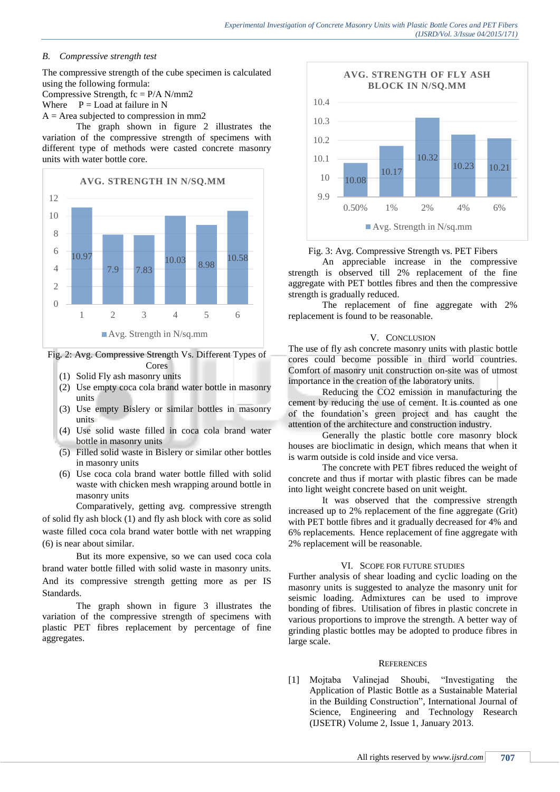# *B. Compressive strength test*

The compressive strength of the cube specimen is calculated using the following formula: Compressive Strength,  $fc = P/A N/mm2$ Where  $P =$  Load at failure in N  $A = Area$  subjected to compression in mm2

The graph shown in figure 2 illustrates the variation of the compressive strength of specimens with different type of methods were casted concrete masonry units with water bottle core.



Fig. 2: Avg. Compressive Strength Vs. Different Types of Cores

- (1) Solid Fly ash masonry units
- (2) Use empty coca cola brand water bottle in masonry units
- (3) Use empty Bislery or similar bottles in masonry units
- (4) Use solid waste filled in coca cola brand water bottle in masonry units
- (5) Filled solid waste in Bislery or similar other bottles in masonry units
- (6) Use coca cola brand water bottle filled with solid waste with chicken mesh wrapping around bottle in masonry units

Comparatively, getting avg. compressive strength of solid fly ash block (1) and fly ash block with core as solid waste filled coca cola brand water bottle with net wrapping (6) is near about similar.

But its more expensive, so we can used coca cola brand water bottle filled with solid waste in masonry units. And its compressive strength getting more as per IS Standards.

The graph shown in figure 3 illustrates the variation of the compressive strength of specimens with plastic PET fibres replacement by percentage of fine aggregates.



Fig. 3: Avg. Compressive Strength vs. PET Fibers

An appreciable increase in the compressive strength is observed till 2% replacement of the fine aggregate with PET bottles fibres and then the compressive strength is gradually reduced.

The replacement of fine aggregate with 2% replacement is found to be reasonable.

#### V. CONCLUSION

The use of fly ash concrete masonry units with plastic bottle cores could become possible in third world countries. Comfort of masonry unit construction on-site was of utmost importance in the creation of the laboratory units.

Reducing the CO2 emission in manufacturing the cement by reducing the use of cement. It is counted as one of the foundation's green project and has caught the attention of the architecture and construction industry.

Generally the plastic bottle core masonry block houses are bioclimatic in design, which means that when it is warm outside is cold inside and vice versa.

The concrete with PET fibres reduced the weight of concrete and thus if mortar with plastic fibres can be made into light weight concrete based on unit weight.

It was observed that the compressive strength increased up to 2% replacement of the fine aggregate (Grit) with PET bottle fibres and it gradually decreased for 4% and 6% replacements. Hence replacement of fine aggregate with 2% replacement will be reasonable.

# VI. SCOPE FOR FUTURE STUDIES

Further analysis of shear loading and cyclic loading on the masonry units is suggested to analyze the masonry unit for seismic loading. Admixtures can be used to improve bonding of fibres. Utilisation of fibres in plastic concrete in various proportions to improve the strength. A better way of grinding plastic bottles may be adopted to produce fibres in large scale.

# **REFERENCES**

[1] Mojtaba Valinejad Shoubi, "Investigating the Application of Plastic Bottle as a Sustainable Material in the Building Construction", International Journal of Science, Engineering and Technology Research (IJSETR) Volume 2, Issue 1, January 2013.